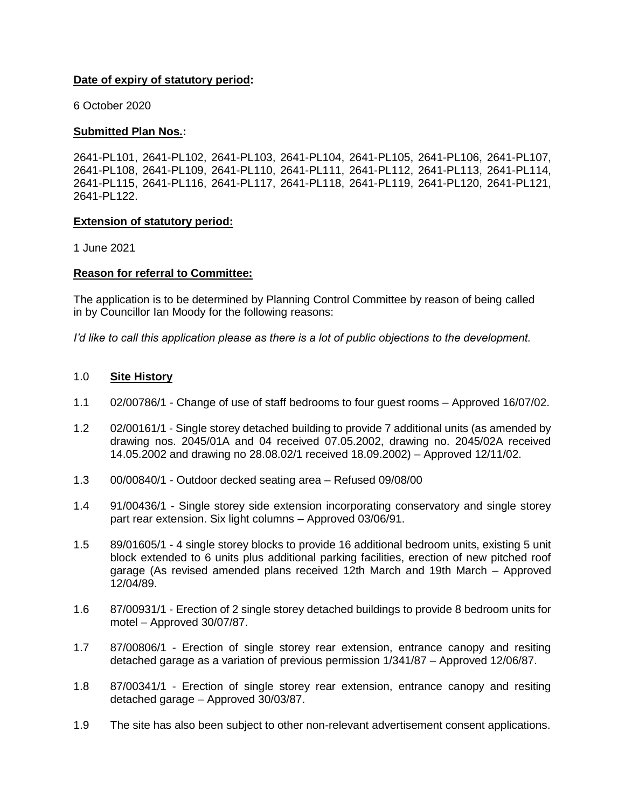### **Date of expiry of statutory period:**

6 October 2020

#### **Submitted Plan Nos.:**

2641-PL101, 2641-PL102, 2641-PL103, 2641-PL104, 2641-PL105, 2641-PL106, 2641-PL107, 2641-PL108, 2641-PL109, 2641-PL110, 2641-PL111, 2641-PL112, 2641-PL113, 2641-PL114, 2641-PL115, 2641-PL116, 2641-PL117, 2641-PL118, 2641-PL119, 2641-PL120, 2641-PL121, 2641-PL122.

#### **Extension of statutory period:**

1 June 2021

### **Reason for referral to Committee:**

The application is to be determined by Planning Control Committee by reason of being called in by Councillor Ian Moody for the following reasons:

*I'd like to call this application please as there is a lot of public objections to the development.*

#### 1.0 **Site History**

- 1.1 02/00786/1 Change of use of staff bedrooms to four guest rooms Approved 16/07/02.
- 1.2 02/00161/1 Single storey detached building to provide 7 additional units (as amended by drawing nos. 2045/01A and 04 received 07.05.2002, drawing no. 2045/02A received 14.05.2002 and drawing no 28.08.02/1 received 18.09.2002) – Approved 12/11/02.
- 1.3 00/00840/1 Outdoor decked seating area Refused 09/08/00
- 1.4 91/00436/1 Single storey side extension incorporating conservatory and single storey part rear extension. Six light columns – Approved 03/06/91.
- 1.5 89/01605/1 4 single storey blocks to provide 16 additional bedroom units, existing 5 unit block extended to 6 units plus additional parking facilities, erection of new pitched roof garage (As revised amended plans received 12th March and 19th March – Approved 12/04/89.
- 1.6 87/00931/1 Erection of 2 single storey detached buildings to provide 8 bedroom units for motel – Approved 30/07/87.
- 1.7 87/00806/1 Erection of single storey rear extension, entrance canopy and resiting detached garage as a variation of previous permission 1/341/87 – Approved 12/06/87.
- 1.8 87/00341/1 Erection of single storey rear extension, entrance canopy and resiting detached garage – Approved 30/03/87.
- 1.9 The site has also been subject to other non-relevant advertisement consent applications.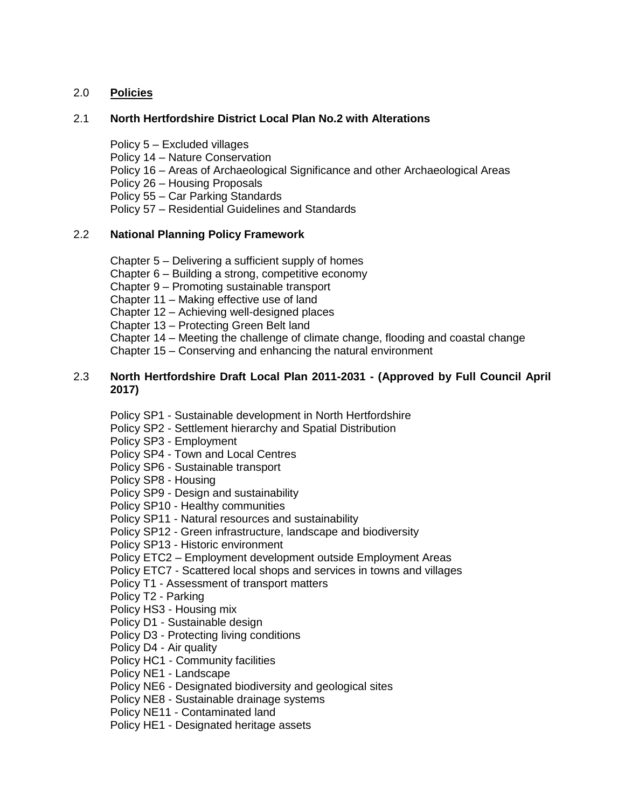# 2.0 **Policies**

## 2.1 **North Hertfordshire District Local Plan No.2 with Alterations**

- Policy 5 Excluded villages
- Policy 14 Nature Conservation
- Policy 16 Areas of Archaeological Significance and other Archaeological Areas
- Policy 26 Housing Proposals
- Policy 55 Car Parking Standards
- Policy 57 Residential Guidelines and Standards

# 2.2 **National Planning Policy Framework**

- Chapter 5 Delivering a sufficient supply of homes
- Chapter 6 Building a strong, competitive economy
- Chapter 9 Promoting sustainable transport
- Chapter 11 Making effective use of land
- Chapter 12 Achieving well-designed places
- Chapter 13 Protecting Green Belt land
- Chapter 14 Meeting the challenge of climate change, flooding and coastal change
- Chapter 15 Conserving and enhancing the natural environment

## 2.3 **North Hertfordshire Draft Local Plan 2011-2031 - (Approved by Full Council April 2017)**

Policy SP1 - Sustainable development in North Hertfordshire

- Policy SP2 Settlement hierarchy and Spatial Distribution
- Policy SP3 Employment
- Policy SP4 Town and Local Centres
- Policy SP6 Sustainable transport
- Policy SP8 Housing
- Policy SP9 Design and sustainability
- Policy SP10 Healthy communities
- Policy SP11 Natural resources and sustainability
- Policy SP12 Green infrastructure, landscape and biodiversity
- Policy SP13 Historic environment
- Policy ETC2 Employment development outside Employment Areas
- Policy ETC7 Scattered local shops and services in towns and villages
- Policy T1 Assessment of transport matters
- Policy T2 Parking
- Policy HS3 Housing mix
- Policy D1 Sustainable design
- Policy D3 Protecting living conditions
- Policy D4 Air quality
- Policy HC1 Community facilities
- Policy NE1 Landscape
- Policy NE6 Designated biodiversity and geological sites
- Policy NE8 Sustainable drainage systems
- Policy NE11 Contaminated land
- Policy HE1 Designated heritage assets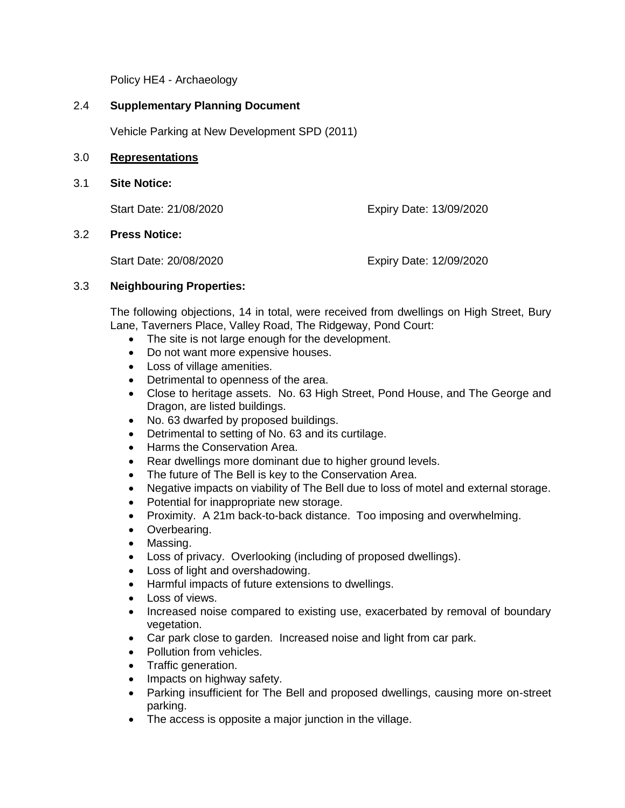Policy HE4 - Archaeology

## 2.4 **Supplementary Planning Document**

Vehicle Parking at New Development SPD (2011)

#### 3.0 **Representations**

3.1 **Site Notice:**

Start Date: 21/08/2020 Expiry Date: 13/09/2020

#### 3.2 **Press Notice:**

Start Date: 20/08/2020 Expiry Date: 12/09/2020

## 3.3 **Neighbouring Properties:**

The following objections, 14 in total, were received from dwellings on High Street, Bury Lane, Taverners Place, Valley Road, The Ridgeway, Pond Court:

- The site is not large enough for the development.
- Do not want more expensive houses.
- Loss of village amenities.
- Detrimental to openness of the area.
- Close to heritage assets. No. 63 High Street, Pond House, and The George and Dragon, are listed buildings.
- No. 63 dwarfed by proposed buildings.
- Detrimental to setting of No. 63 and its curtilage.
- Harms the Conservation Area.
- Rear dwellings more dominant due to higher ground levels.
- The future of The Bell is key to the Conservation Area.
- Negative impacts on viability of The Bell due to loss of motel and external storage.
- Potential for inappropriate new storage.
- Proximity. A 21m back-to-back distance. Too imposing and overwhelming.
- Overbearing.
- Massing.
- Loss of privacy. Overlooking (including of proposed dwellings).
- Loss of light and overshadowing.
- Harmful impacts of future extensions to dwellings.
- Loss of views.
- Increased noise compared to existing use, exacerbated by removal of boundary vegetation.
- Car park close to garden. Increased noise and light from car park.
- Pollution from vehicles.
- Traffic generation.
- Impacts on highway safety.
- Parking insufficient for The Bell and proposed dwellings, causing more on-street parking.
- The access is opposite a major junction in the village.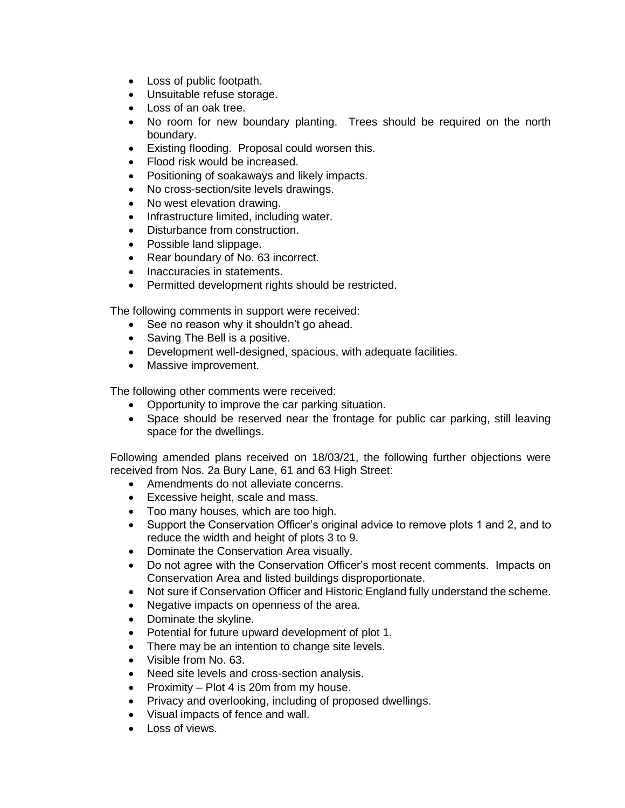- Loss of public footpath.
- Unsuitable refuse storage.
- Loss of an oak tree.
- No room for new boundary planting. Trees should be required on the north boundary.
- Existing flooding. Proposal could worsen this.
- Flood risk would be increased.
- Positioning of soakaways and likely impacts.
- No cross-section/site levels drawings.
- No west elevation drawing.
- Infrastructure limited, including water.
- Disturbance from construction.
- Possible land slippage.
- Rear boundary of No. 63 incorrect.
- Inaccuracies in statements.
- Permitted development rights should be restricted.

The following comments in support were received:

- See no reason why it shouldn't go ahead.
- Saving The Bell is a positive.
- Development well-designed, spacious, with adequate facilities.
- Massive improvement.

The following other comments were received:

- Opportunity to improve the car parking situation.
- Space should be reserved near the frontage for public car parking, still leaving space for the dwellings.

Following amended plans received on 18/03/21, the following further objections were received from Nos. 2a Bury Lane, 61 and 63 High Street:

- Amendments do not alleviate concerns.
- Excessive height, scale and mass.
- Too many houses, which are too high.
- Support the Conservation Officer's original advice to remove plots 1 and 2, and to reduce the width and height of plots 3 to 9.
- Dominate the Conservation Area visually.
- Do not agree with the Conservation Officer's most recent comments. Impacts on Conservation Area and listed buildings disproportionate.
- Not sure if Conservation Officer and Historic England fully understand the scheme.
- Negative impacts on openness of the area.
- Dominate the skyline.
- Potential for future upward development of plot 1.
- There may be an intention to change site levels.
- Visible from No. 63.
- Need site levels and cross-section analysis.
- Proximity Plot 4 is 20m from my house.
- Privacy and overlooking, including of proposed dwellings.
- Visual impacts of fence and wall.
- Loss of views.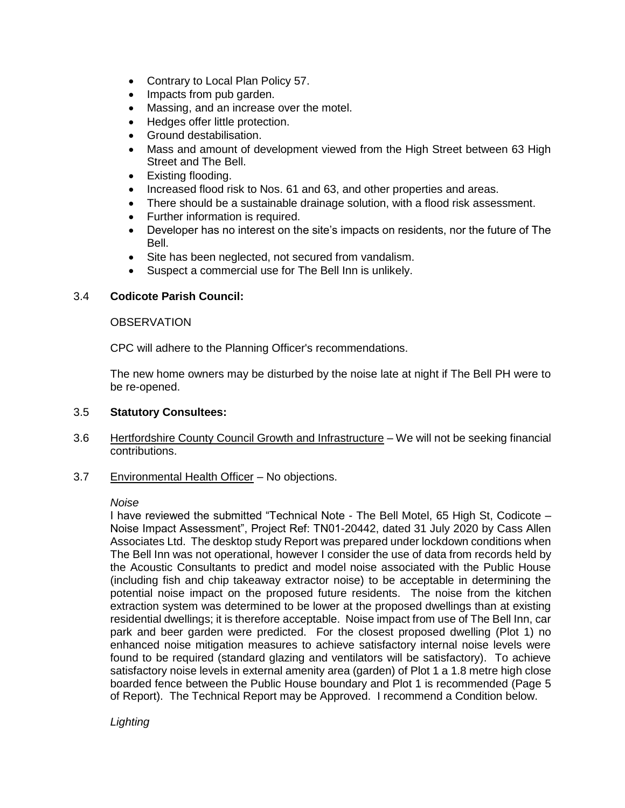- Contrary to Local Plan Policy 57.
- Impacts from pub garden.
- Massing, and an increase over the motel.
- Hedges offer little protection.
- Ground destabilisation.
- Mass and amount of development viewed from the High Street between 63 High Street and The Bell.
- Existing flooding.
- Increased flood risk to Nos. 61 and 63, and other properties and areas.
- There should be a sustainable drainage solution, with a flood risk assessment.
- Further information is required.
- Developer has no interest on the site's impacts on residents, nor the future of The Bell.
- Site has been neglected, not secured from vandalism.
- Suspect a commercial use for The Bell Inn is unlikely.

# 3.4 **Codicote Parish Council:**

## **OBSERVATION**

CPC will adhere to the Planning Officer's recommendations.

The new home owners may be disturbed by the noise late at night if The Bell PH were to be re-opened.

## 3.5 **Statutory Consultees:**

- 3.6 Hertfordshire County Council Growth and Infrastructure We will not be seeking financial contributions.
- 3.7 Environmental Health Officer No objections.

## *Noise*

I have reviewed the submitted "Technical Note - The Bell Motel, 65 High St, Codicote – Noise Impact Assessment", Project Ref: TN01-20442, dated 31 July 2020 by Cass Allen Associates Ltd. The desktop study Report was prepared under lockdown conditions when The Bell Inn was not operational, however I consider the use of data from records held by the Acoustic Consultants to predict and model noise associated with the Public House (including fish and chip takeaway extractor noise) to be acceptable in determining the potential noise impact on the proposed future residents. The noise from the kitchen extraction system was determined to be lower at the proposed dwellings than at existing residential dwellings; it is therefore acceptable. Noise impact from use of The Bell Inn, car park and beer garden were predicted. For the closest proposed dwelling (Plot 1) no enhanced noise mitigation measures to achieve satisfactory internal noise levels were found to be required (standard glazing and ventilators will be satisfactory). To achieve satisfactory noise levels in external amenity area (garden) of Plot 1 a 1.8 metre high close boarded fence between the Public House boundary and Plot 1 is recommended (Page 5 of Report). The Technical Report may be Approved. I recommend a Condition below.

*Lighting*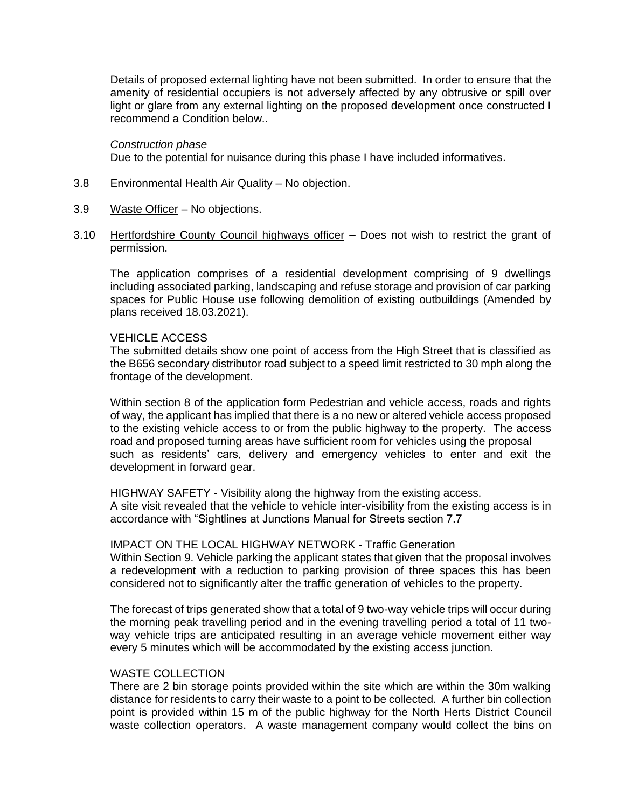Details of proposed external lighting have not been submitted. In order to ensure that the amenity of residential occupiers is not adversely affected by any obtrusive or spill over light or glare from any external lighting on the proposed development once constructed I recommend a Condition below..

#### *Construction phase*

Due to the potential for nuisance during this phase I have included informatives.

- 3.8 Environmental Health Air Quality No objection.
- 3.9 Waste Officer No objections.
- 3.10 Hertfordshire County Council highways officer Does not wish to restrict the grant of permission.

The application comprises of a residential development comprising of 9 dwellings including associated parking, landscaping and refuse storage and provision of car parking spaces for Public House use following demolition of existing outbuildings (Amended by plans received 18.03.2021).

#### VEHICLE ACCESS

The submitted details show one point of access from the High Street that is classified as the B656 secondary distributor road subject to a speed limit restricted to 30 mph along the frontage of the development.

Within section 8 of the application form Pedestrian and vehicle access, roads and rights of way, the applicant has implied that there is a no new or altered vehicle access proposed to the existing vehicle access to or from the public highway to the property. The access road and proposed turning areas have sufficient room for vehicles using the proposal such as residents' cars, delivery and emergency vehicles to enter and exit the development in forward gear.

HIGHWAY SAFETY - Visibility along the highway from the existing access. A site visit revealed that the vehicle to vehicle inter-visibility from the existing access is in accordance with "Sightlines at Junctions Manual for Streets section 7.7

#### IMPACT ON THE LOCAL HIGHWAY NETWORK - Traffic Generation

Within Section 9. Vehicle parking the applicant states that given that the proposal involves a redevelopment with a reduction to parking provision of three spaces this has been considered not to significantly alter the traffic generation of vehicles to the property.

The forecast of trips generated show that a total of 9 two-way vehicle trips will occur during the morning peak travelling period and in the evening travelling period a total of 11 twoway vehicle trips are anticipated resulting in an average vehicle movement either way every 5 minutes which will be accommodated by the existing access junction.

### WASTE COLLECTION

There are 2 bin storage points provided within the site which are within the 30m walking distance for residents to carry their waste to a point to be collected. A further bin collection point is provided within 15 m of the public highway for the North Herts District Council waste collection operators. A waste management company would collect the bins on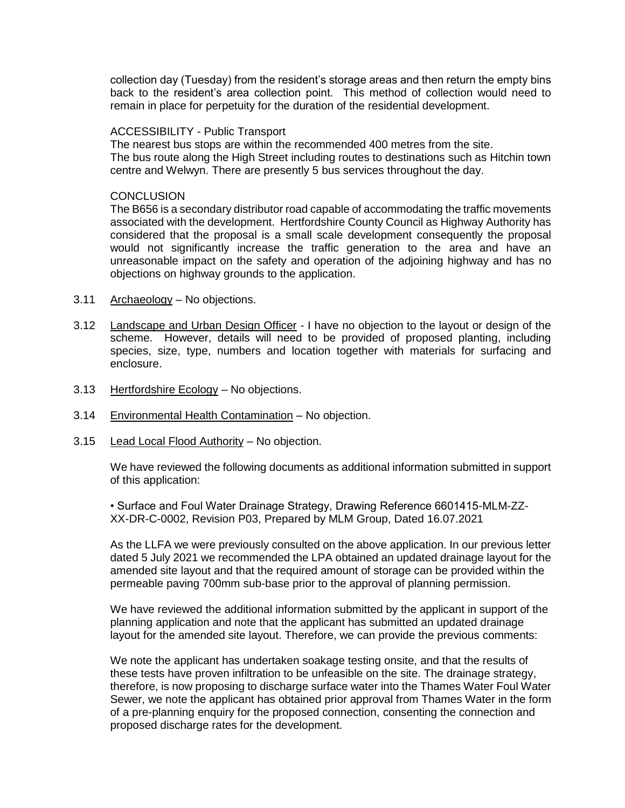collection day (Tuesday) from the resident's storage areas and then return the empty bins back to the resident's area collection point. This method of collection would need to remain in place for perpetuity for the duration of the residential development.

#### ACCESSIBILITY - Public Transport

The nearest bus stops are within the recommended 400 metres from the site. The bus route along the High Street including routes to destinations such as Hitchin town centre and Welwyn. There are presently 5 bus services throughout the day.

#### **CONCLUSION**

The B656 is a secondary distributor road capable of accommodating the traffic movements associated with the development. Hertfordshire County Council as Highway Authority has considered that the proposal is a small scale development consequently the proposal would not significantly increase the traffic generation to the area and have an unreasonable impact on the safety and operation of the adjoining highway and has no objections on highway grounds to the application.

- 3.11 Archaeology No objections.
- 3.12 Landscape and Urban Design Officer I have no objection to the layout or design of the scheme. However, details will need to be provided of proposed planting, including species, size, type, numbers and location together with materials for surfacing and enclosure.
- 3.13 Hertfordshire Ecology No objections.
- 3.14 Environmental Health Contamination No objection.
- 3.15 Lead Local Flood Authority No objection.

We have reviewed the following documents as additional information submitted in support of this application:

• Surface and Foul Water Drainage Strategy, Drawing Reference 6601415-MLM-ZZ-XX-DR-C-0002, Revision P03, Prepared by MLM Group, Dated 16.07.2021

As the LLFA we were previously consulted on the above application. In our previous letter dated 5 July 2021 we recommended the LPA obtained an updated drainage layout for the amended site layout and that the required amount of storage can be provided within the permeable paving 700mm sub-base prior to the approval of planning permission.

We have reviewed the additional information submitted by the applicant in support of the planning application and note that the applicant has submitted an updated drainage layout for the amended site layout. Therefore, we can provide the previous comments:

We note the applicant has undertaken soakage testing onsite, and that the results of these tests have proven infiltration to be unfeasible on the site. The drainage strategy, therefore, is now proposing to discharge surface water into the Thames Water Foul Water Sewer, we note the applicant has obtained prior approval from Thames Water in the form of a pre-planning enquiry for the proposed connection, consenting the connection and proposed discharge rates for the development.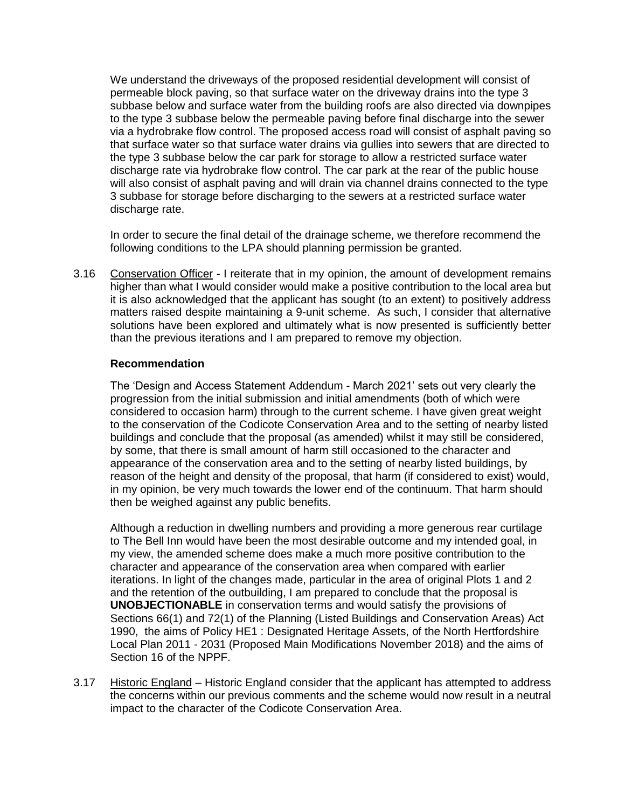We understand the driveways of the proposed residential development will consist of permeable block paving, so that surface water on the driveway drains into the type 3 subbase below and surface water from the building roofs are also directed via downpipes to the type 3 subbase below the permeable paving before final discharge into the sewer via a hydrobrake flow control. The proposed access road will consist of asphalt paving so that surface water so that surface water drains via gullies into sewers that are directed to the type 3 subbase below the car park for storage to allow a restricted surface water discharge rate via hydrobrake flow control. The car park at the rear of the public house will also consist of asphalt paving and will drain via channel drains connected to the type 3 subbase for storage before discharging to the sewers at a restricted surface water discharge rate.

In order to secure the final detail of the drainage scheme, we therefore recommend the following conditions to the LPA should planning permission be granted.

3.16 Conservation Officer - I reiterate that in my opinion, the amount of development remains higher than what I would consider would make a positive contribution to the local area but it is also acknowledged that the applicant has sought (to an extent) to positively address matters raised despite maintaining a 9-unit scheme. As such, I consider that alternative solutions have been explored and ultimately what is now presented is sufficiently better than the previous iterations and I am prepared to remove my objection.

### **Recommendation**

The 'Design and Access Statement Addendum - March 2021' sets out very clearly the progression from the initial submission and initial amendments (both of which were considered to occasion harm) through to the current scheme. I have given great weight to the conservation of the Codicote Conservation Area and to the setting of nearby listed buildings and conclude that the proposal (as amended) whilst it may still be considered, by some, that there is small amount of harm still occasioned to the character and appearance of the conservation area and to the setting of nearby listed buildings, by reason of the height and density of the proposal, that harm (if considered to exist) would, in my opinion, be very much towards the lower end of the continuum. That harm should then be weighed against any public benefits.

Although a reduction in dwelling numbers and providing a more generous rear curtilage to The Bell Inn would have been the most desirable outcome and my intended goal, in my view, the amended scheme does make a much more positive contribution to the character and appearance of the conservation area when compared with earlier iterations. In light of the changes made, particular in the area of original Plots 1 and 2 and the retention of the outbuilding, I am prepared to conclude that the proposal is **UNOBJECTIONABLE** in conservation terms and would satisfy the provisions of Sections 66(1) and 72(1) of the Planning (Listed Buildings and Conservation Areas) Act 1990, the aims of Policy HE1 : Designated Heritage Assets, of the North Hertfordshire Local Plan 2011 - 2031 (Proposed Main Modifications November 2018) and the aims of Section 16 of the NPPF.

3.17 Historic England – Historic England consider that the applicant has attempted to address the concerns within our previous comments and the scheme would now result in a neutral impact to the character of the Codicote Conservation Area.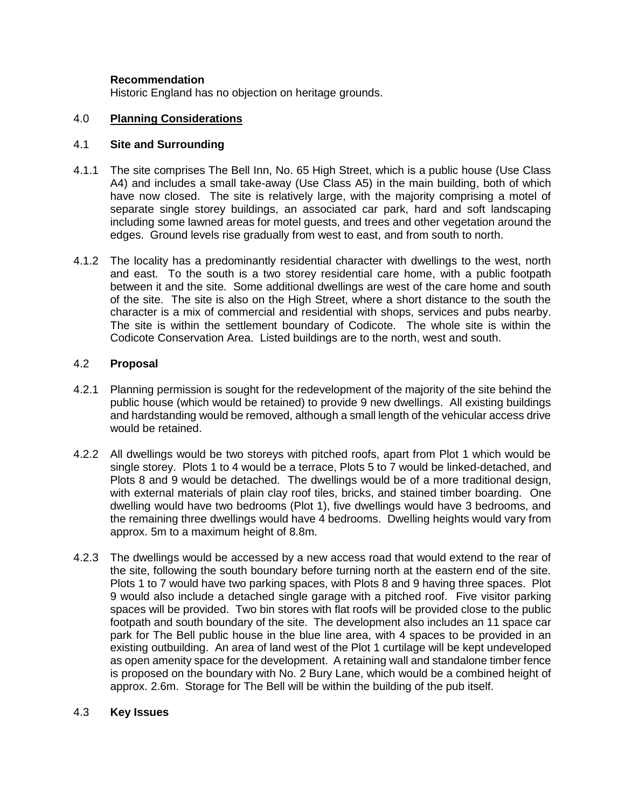### **Recommendation**

Historic England has no objection on heritage grounds.

#### 4.0 **Planning Considerations**

#### 4.1 **Site and Surrounding**

- 4.1.1 The site comprises The Bell Inn, No. 65 High Street, which is a public house (Use Class A4) and includes a small take-away (Use Class A5) in the main building, both of which have now closed. The site is relatively large, with the majority comprising a motel of separate single storey buildings, an associated car park, hard and soft landscaping including some lawned areas for motel guests, and trees and other vegetation around the edges. Ground levels rise gradually from west to east, and from south to north.
- 4.1.2 The locality has a predominantly residential character with dwellings to the west, north and east. To the south is a two storey residential care home, with a public footpath between it and the site. Some additional dwellings are west of the care home and south of the site. The site is also on the High Street, where a short distance to the south the character is a mix of commercial and residential with shops, services and pubs nearby. The site is within the settlement boundary of Codicote. The whole site is within the Codicote Conservation Area. Listed buildings are to the north, west and south.

### 4.2 **Proposal**

- 4.2.1 Planning permission is sought for the redevelopment of the majority of the site behind the public house (which would be retained) to provide 9 new dwellings. All existing buildings and hardstanding would be removed, although a small length of the vehicular access drive would be retained.
- 4.2.2 All dwellings would be two storeys with pitched roofs, apart from Plot 1 which would be single storey. Plots 1 to 4 would be a terrace, Plots 5 to 7 would be linked-detached, and Plots 8 and 9 would be detached. The dwellings would be of a more traditional design, with external materials of plain clay roof tiles, bricks, and stained timber boarding. One dwelling would have two bedrooms (Plot 1), five dwellings would have 3 bedrooms, and the remaining three dwellings would have 4 bedrooms. Dwelling heights would vary from approx. 5m to a maximum height of 8.8m.
- 4.2.3 The dwellings would be accessed by a new access road that would extend to the rear of the site, following the south boundary before turning north at the eastern end of the site. Plots 1 to 7 would have two parking spaces, with Plots 8 and 9 having three spaces. Plot 9 would also include a detached single garage with a pitched roof. Five visitor parking spaces will be provided. Two bin stores with flat roofs will be provided close to the public footpath and south boundary of the site. The development also includes an 11 space car park for The Bell public house in the blue line area, with 4 spaces to be provided in an existing outbuilding. An area of land west of the Plot 1 curtilage will be kept undeveloped as open amenity space for the development. A retaining wall and standalone timber fence is proposed on the boundary with No. 2 Bury Lane, which would be a combined height of approx. 2.6m. Storage for The Bell will be within the building of the pub itself.

#### 4.3 **Key Issues**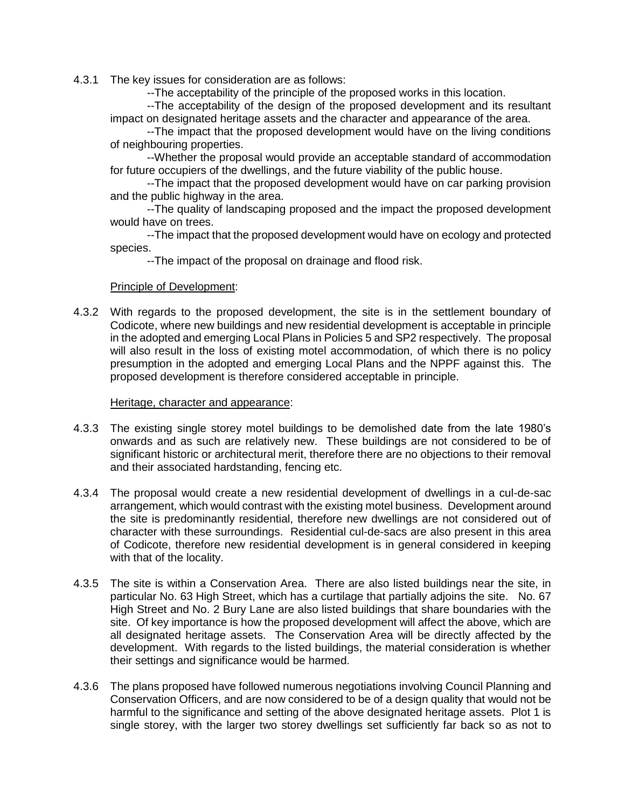4.3.1 The key issues for consideration are as follows:

--The acceptability of the principle of the proposed works in this location.

--The acceptability of the design of the proposed development and its resultant impact on designated heritage assets and the character and appearance of the area.

--The impact that the proposed development would have on the living conditions of neighbouring properties.

--Whether the proposal would provide an acceptable standard of accommodation for future occupiers of the dwellings, and the future viability of the public house.

--The impact that the proposed development would have on car parking provision and the public highway in the area.

--The quality of landscaping proposed and the impact the proposed development would have on trees.

--The impact that the proposed development would have on ecology and protected species.

--The impact of the proposal on drainage and flood risk.

### Principle of Development:

4.3.2 With regards to the proposed development, the site is in the settlement boundary of Codicote, where new buildings and new residential development is acceptable in principle in the adopted and emerging Local Plans in Policies 5 and SP2 respectively. The proposal will also result in the loss of existing motel accommodation, of which there is no policy presumption in the adopted and emerging Local Plans and the NPPF against this. The proposed development is therefore considered acceptable in principle.

### Heritage, character and appearance:

- 4.3.3 The existing single storey motel buildings to be demolished date from the late 1980's onwards and as such are relatively new. These buildings are not considered to be of significant historic or architectural merit, therefore there are no objections to their removal and their associated hardstanding, fencing etc.
- 4.3.4 The proposal would create a new residential development of dwellings in a cul-de-sac arrangement, which would contrast with the existing motel business. Development around the site is predominantly residential, therefore new dwellings are not considered out of character with these surroundings. Residential cul-de-sacs are also present in this area of Codicote, therefore new residential development is in general considered in keeping with that of the locality.
- 4.3.5 The site is within a Conservation Area. There are also listed buildings near the site, in particular No. 63 High Street, which has a curtilage that partially adjoins the site. No. 67 High Street and No. 2 Bury Lane are also listed buildings that share boundaries with the site. Of key importance is how the proposed development will affect the above, which are all designated heritage assets. The Conservation Area will be directly affected by the development. With regards to the listed buildings, the material consideration is whether their settings and significance would be harmed.
- 4.3.6 The plans proposed have followed numerous negotiations involving Council Planning and Conservation Officers, and are now considered to be of a design quality that would not be harmful to the significance and setting of the above designated heritage assets. Plot 1 is single storey, with the larger two storey dwellings set sufficiently far back so as not to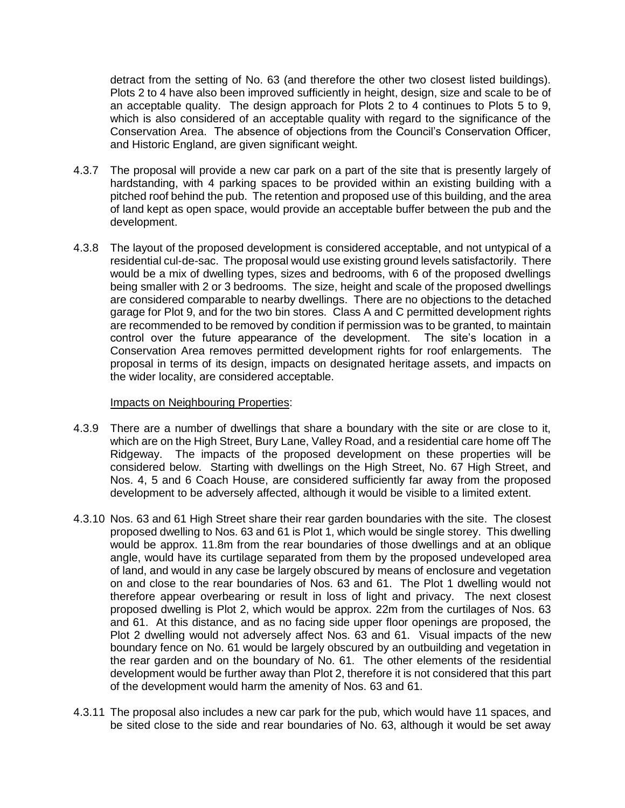detract from the setting of No. 63 (and therefore the other two closest listed buildings). Plots 2 to 4 have also been improved sufficiently in height, design, size and scale to be of an acceptable quality. The design approach for Plots 2 to 4 continues to Plots 5 to 9, which is also considered of an acceptable quality with regard to the significance of the Conservation Area. The absence of objections from the Council's Conservation Officer, and Historic England, are given significant weight.

- 4.3.7 The proposal will provide a new car park on a part of the site that is presently largely of hardstanding, with 4 parking spaces to be provided within an existing building with a pitched roof behind the pub. The retention and proposed use of this building, and the area of land kept as open space, would provide an acceptable buffer between the pub and the development.
- 4.3.8 The layout of the proposed development is considered acceptable, and not untypical of a residential cul-de-sac. The proposal would use existing ground levels satisfactorily. There would be a mix of dwelling types, sizes and bedrooms, with 6 of the proposed dwellings being smaller with 2 or 3 bedrooms. The size, height and scale of the proposed dwellings are considered comparable to nearby dwellings. There are no objections to the detached garage for Plot 9, and for the two bin stores. Class A and C permitted development rights are recommended to be removed by condition if permission was to be granted, to maintain control over the future appearance of the development. The site's location in a Conservation Area removes permitted development rights for roof enlargements. The proposal in terms of its design, impacts on designated heritage assets, and impacts on the wider locality, are considered acceptable.

#### Impacts on Neighbouring Properties:

- 4.3.9 There are a number of dwellings that share a boundary with the site or are close to it, which are on the High Street, Bury Lane, Valley Road, and a residential care home off The Ridgeway. The impacts of the proposed development on these properties will be considered below. Starting with dwellings on the High Street, No. 67 High Street, and Nos. 4, 5 and 6 Coach House, are considered sufficiently far away from the proposed development to be adversely affected, although it would be visible to a limited extent.
- 4.3.10 Nos. 63 and 61 High Street share their rear garden boundaries with the site. The closest proposed dwelling to Nos. 63 and 61 is Plot 1, which would be single storey. This dwelling would be approx. 11.8m from the rear boundaries of those dwellings and at an oblique angle, would have its curtilage separated from them by the proposed undeveloped area of land, and would in any case be largely obscured by means of enclosure and vegetation on and close to the rear boundaries of Nos. 63 and 61. The Plot 1 dwelling would not therefore appear overbearing or result in loss of light and privacy. The next closest proposed dwelling is Plot 2, which would be approx. 22m from the curtilages of Nos. 63 and 61. At this distance, and as no facing side upper floor openings are proposed, the Plot 2 dwelling would not adversely affect Nos. 63 and 61. Visual impacts of the new boundary fence on No. 61 would be largely obscured by an outbuilding and vegetation in the rear garden and on the boundary of No. 61. The other elements of the residential development would be further away than Plot 2, therefore it is not considered that this part of the development would harm the amenity of Nos. 63 and 61.
- 4.3.11 The proposal also includes a new car park for the pub, which would have 11 spaces, and be sited close to the side and rear boundaries of No. 63, although it would be set away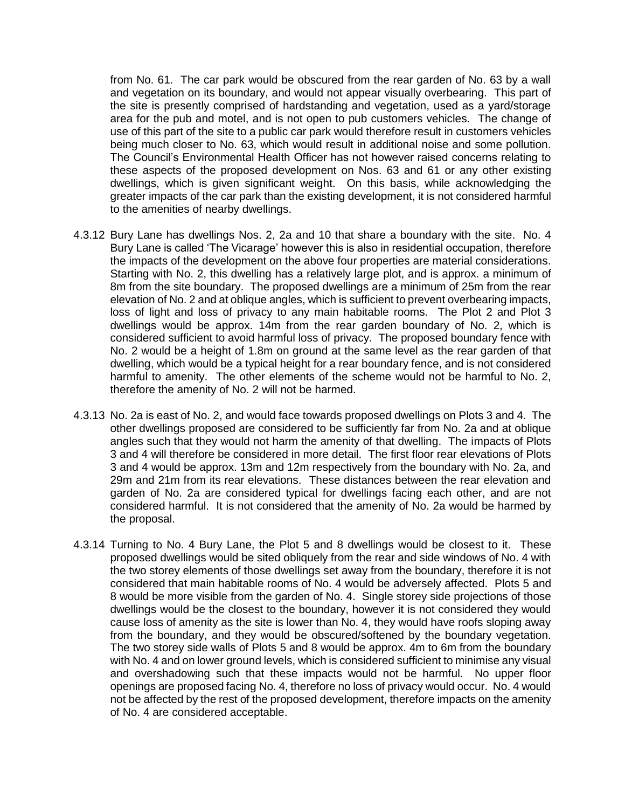from No. 61. The car park would be obscured from the rear garden of No. 63 by a wall and vegetation on its boundary, and would not appear visually overbearing. This part of the site is presently comprised of hardstanding and vegetation, used as a yard/storage area for the pub and motel, and is not open to pub customers vehicles. The change of use of this part of the site to a public car park would therefore result in customers vehicles being much closer to No. 63, which would result in additional noise and some pollution. The Council's Environmental Health Officer has not however raised concerns relating to these aspects of the proposed development on Nos. 63 and 61 or any other existing dwellings, which is given significant weight. On this basis, while acknowledging the greater impacts of the car park than the existing development, it is not considered harmful to the amenities of nearby dwellings.

- 4.3.12 Bury Lane has dwellings Nos. 2, 2a and 10 that share a boundary with the site. No. 4 Bury Lane is called 'The Vicarage' however this is also in residential occupation, therefore the impacts of the development on the above four properties are material considerations. Starting with No. 2, this dwelling has a relatively large plot, and is approx. a minimum of 8m from the site boundary. The proposed dwellings are a minimum of 25m from the rear elevation of No. 2 and at oblique angles, which is sufficient to prevent overbearing impacts, loss of light and loss of privacy to any main habitable rooms. The Plot 2 and Plot 3 dwellings would be approx. 14m from the rear garden boundary of No. 2, which is considered sufficient to avoid harmful loss of privacy. The proposed boundary fence with No. 2 would be a height of 1.8m on ground at the same level as the rear garden of that dwelling, which would be a typical height for a rear boundary fence, and is not considered harmful to amenity. The other elements of the scheme would not be harmful to No. 2, therefore the amenity of No. 2 will not be harmed.
- 4.3.13 No. 2a is east of No. 2, and would face towards proposed dwellings on Plots 3 and 4. The other dwellings proposed are considered to be sufficiently far from No. 2a and at oblique angles such that they would not harm the amenity of that dwelling. The impacts of Plots 3 and 4 will therefore be considered in more detail. The first floor rear elevations of Plots 3 and 4 would be approx. 13m and 12m respectively from the boundary with No. 2a, and 29m and 21m from its rear elevations. These distances between the rear elevation and garden of No. 2a are considered typical for dwellings facing each other, and are not considered harmful. It is not considered that the amenity of No. 2a would be harmed by the proposal.
- 4.3.14 Turning to No. 4 Bury Lane, the Plot 5 and 8 dwellings would be closest to it. These proposed dwellings would be sited obliquely from the rear and side windows of No. 4 with the two storey elements of those dwellings set away from the boundary, therefore it is not considered that main habitable rooms of No. 4 would be adversely affected. Plots 5 and 8 would be more visible from the garden of No. 4. Single storey side projections of those dwellings would be the closest to the boundary, however it is not considered they would cause loss of amenity as the site is lower than No. 4, they would have roofs sloping away from the boundary, and they would be obscured/softened by the boundary vegetation. The two storey side walls of Plots 5 and 8 would be approx. 4m to 6m from the boundary with No. 4 and on lower ground levels, which is considered sufficient to minimise any visual and overshadowing such that these impacts would not be harmful. No upper floor openings are proposed facing No. 4, therefore no loss of privacy would occur. No. 4 would not be affected by the rest of the proposed development, therefore impacts on the amenity of No. 4 are considered acceptable.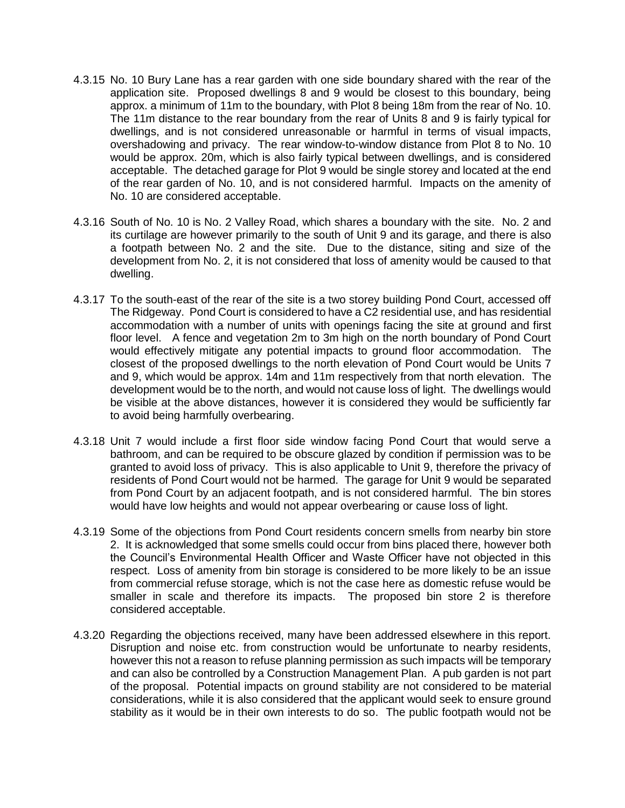- 4.3.15 No. 10 Bury Lane has a rear garden with one side boundary shared with the rear of the application site. Proposed dwellings 8 and 9 would be closest to this boundary, being approx. a minimum of 11m to the boundary, with Plot 8 being 18m from the rear of No. 10. The 11m distance to the rear boundary from the rear of Units 8 and 9 is fairly typical for dwellings, and is not considered unreasonable or harmful in terms of visual impacts, overshadowing and privacy. The rear window-to-window distance from Plot 8 to No. 10 would be approx. 20m, which is also fairly typical between dwellings, and is considered acceptable. The detached garage for Plot 9 would be single storey and located at the end of the rear garden of No. 10, and is not considered harmful. Impacts on the amenity of No. 10 are considered acceptable.
- 4.3.16 South of No. 10 is No. 2 Valley Road, which shares a boundary with the site. No. 2 and its curtilage are however primarily to the south of Unit 9 and its garage, and there is also a footpath between No. 2 and the site. Due to the distance, siting and size of the development from No. 2, it is not considered that loss of amenity would be caused to that dwelling.
- 4.3.17 To the south-east of the rear of the site is a two storey building Pond Court, accessed off The Ridgeway. Pond Court is considered to have a C2 residential use, and has residential accommodation with a number of units with openings facing the site at ground and first floor level. A fence and vegetation 2m to 3m high on the north boundary of Pond Court would effectively mitigate any potential impacts to ground floor accommodation. The closest of the proposed dwellings to the north elevation of Pond Court would be Units 7 and 9, which would be approx. 14m and 11m respectively from that north elevation. The development would be to the north, and would not cause loss of light. The dwellings would be visible at the above distances, however it is considered they would be sufficiently far to avoid being harmfully overbearing.
- 4.3.18 Unit 7 would include a first floor side window facing Pond Court that would serve a bathroom, and can be required to be obscure glazed by condition if permission was to be granted to avoid loss of privacy. This is also applicable to Unit 9, therefore the privacy of residents of Pond Court would not be harmed. The garage for Unit 9 would be separated from Pond Court by an adjacent footpath, and is not considered harmful. The bin stores would have low heights and would not appear overbearing or cause loss of light.
- 4.3.19 Some of the objections from Pond Court residents concern smells from nearby bin store 2. It is acknowledged that some smells could occur from bins placed there, however both the Council's Environmental Health Officer and Waste Officer have not objected in this respect. Loss of amenity from bin storage is considered to be more likely to be an issue from commercial refuse storage, which is not the case here as domestic refuse would be smaller in scale and therefore its impacts. The proposed bin store 2 is therefore considered acceptable.
- 4.3.20 Regarding the objections received, many have been addressed elsewhere in this report. Disruption and noise etc. from construction would be unfortunate to nearby residents, however this not a reason to refuse planning permission as such impacts will be temporary and can also be controlled by a Construction Management Plan. A pub garden is not part of the proposal. Potential impacts on ground stability are not considered to be material considerations, while it is also considered that the applicant would seek to ensure ground stability as it would be in their own interests to do so. The public footpath would not be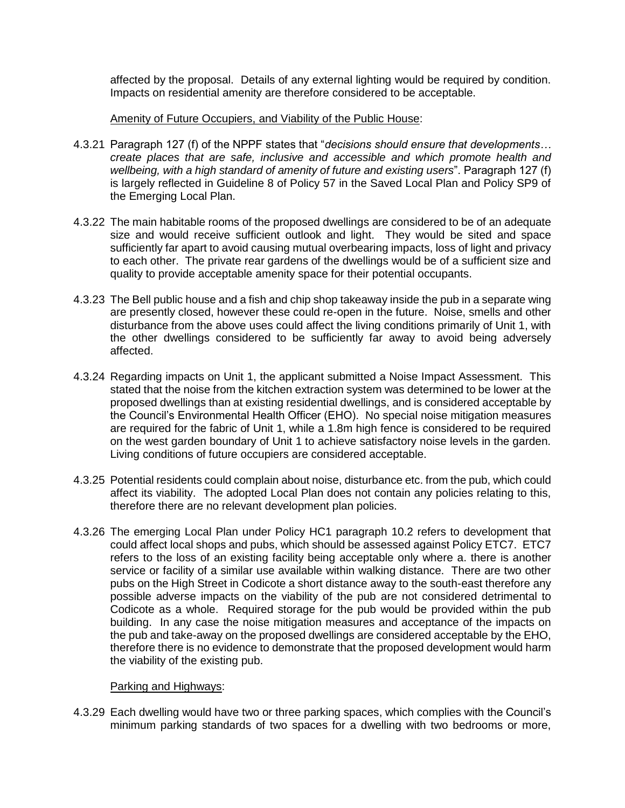affected by the proposal. Details of any external lighting would be required by condition. Impacts on residential amenity are therefore considered to be acceptable.

#### Amenity of Future Occupiers, and Viability of the Public House:

- 4.3.21 Paragraph 127 (f) of the NPPF states that "*decisions should ensure that developments… create places that are safe, inclusive and accessible and which promote health and wellbeing, with a high standard of amenity of future and existing users*". Paragraph 127 (f) is largely reflected in Guideline 8 of Policy 57 in the Saved Local Plan and Policy SP9 of the Emerging Local Plan.
- 4.3.22 The main habitable rooms of the proposed dwellings are considered to be of an adequate size and would receive sufficient outlook and light. They would be sited and space sufficiently far apart to avoid causing mutual overbearing impacts, loss of light and privacy to each other. The private rear gardens of the dwellings would be of a sufficient size and quality to provide acceptable amenity space for their potential occupants.
- 4.3.23 The Bell public house and a fish and chip shop takeaway inside the pub in a separate wing are presently closed, however these could re-open in the future. Noise, smells and other disturbance from the above uses could affect the living conditions primarily of Unit 1, with the other dwellings considered to be sufficiently far away to avoid being adversely affected.
- 4.3.24 Regarding impacts on Unit 1, the applicant submitted a Noise Impact Assessment. This stated that the noise from the kitchen extraction system was determined to be lower at the proposed dwellings than at existing residential dwellings, and is considered acceptable by the Council's Environmental Health Officer (EHO). No special noise mitigation measures are required for the fabric of Unit 1, while a 1.8m high fence is considered to be required on the west garden boundary of Unit 1 to achieve satisfactory noise levels in the garden. Living conditions of future occupiers are considered acceptable.
- 4.3.25 Potential residents could complain about noise, disturbance etc. from the pub, which could affect its viability. The adopted Local Plan does not contain any policies relating to this, therefore there are no relevant development plan policies.
- 4.3.26 The emerging Local Plan under Policy HC1 paragraph 10.2 refers to development that could affect local shops and pubs, which should be assessed against Policy ETC7. ETC7 refers to the loss of an existing facility being acceptable only where a. there is another service or facility of a similar use available within walking distance. There are two other pubs on the High Street in Codicote a short distance away to the south-east therefore any possible adverse impacts on the viability of the pub are not considered detrimental to Codicote as a whole. Required storage for the pub would be provided within the pub building. In any case the noise mitigation measures and acceptance of the impacts on the pub and take-away on the proposed dwellings are considered acceptable by the EHO, therefore there is no evidence to demonstrate that the proposed development would harm the viability of the existing pub.

## Parking and Highways:

4.3.29 Each dwelling would have two or three parking spaces, which complies with the Council's minimum parking standards of two spaces for a dwelling with two bedrooms or more,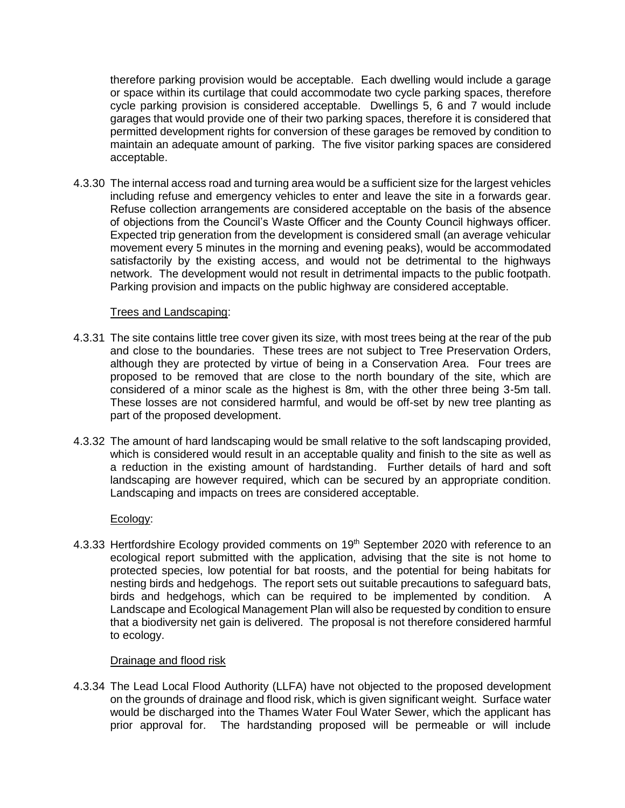therefore parking provision would be acceptable. Each dwelling would include a garage or space within its curtilage that could accommodate two cycle parking spaces, therefore cycle parking provision is considered acceptable. Dwellings 5, 6 and 7 would include garages that would provide one of their two parking spaces, therefore it is considered that permitted development rights for conversion of these garages be removed by condition to maintain an adequate amount of parking. The five visitor parking spaces are considered acceptable.

4.3.30 The internal access road and turning area would be a sufficient size for the largest vehicles including refuse and emergency vehicles to enter and leave the site in a forwards gear. Refuse collection arrangements are considered acceptable on the basis of the absence of objections from the Council's Waste Officer and the County Council highways officer. Expected trip generation from the development is considered small (an average vehicular movement every 5 minutes in the morning and evening peaks), would be accommodated satisfactorily by the existing access, and would not be detrimental to the highways network. The development would not result in detrimental impacts to the public footpath. Parking provision and impacts on the public highway are considered acceptable.

### Trees and Landscaping:

- 4.3.31 The site contains little tree cover given its size, with most trees being at the rear of the pub and close to the boundaries. These trees are not subject to Tree Preservation Orders, although they are protected by virtue of being in a Conservation Area. Four trees are proposed to be removed that are close to the north boundary of the site, which are considered of a minor scale as the highest is 8m, with the other three being 3-5m tall. These losses are not considered harmful, and would be off-set by new tree planting as part of the proposed development.
- 4.3.32 The amount of hard landscaping would be small relative to the soft landscaping provided, which is considered would result in an acceptable quality and finish to the site as well as a reduction in the existing amount of hardstanding. Further details of hard and soft landscaping are however required, which can be secured by an appropriate condition. Landscaping and impacts on trees are considered acceptable.

## Ecology:

4.3.33 Hertfordshire Ecology provided comments on 19<sup>th</sup> September 2020 with reference to an ecological report submitted with the application, advising that the site is not home to protected species, low potential for bat roosts, and the potential for being habitats for nesting birds and hedgehogs. The report sets out suitable precautions to safeguard bats, birds and hedgehogs, which can be required to be implemented by condition. A Landscape and Ecological Management Plan will also be requested by condition to ensure that a biodiversity net gain is delivered. The proposal is not therefore considered harmful to ecology.

## Drainage and flood risk

4.3.34 The Lead Local Flood Authority (LLFA) have not objected to the proposed development on the grounds of drainage and flood risk, which is given significant weight. Surface water would be discharged into the Thames Water Foul Water Sewer, which the applicant has prior approval for. The hardstanding proposed will be permeable or will include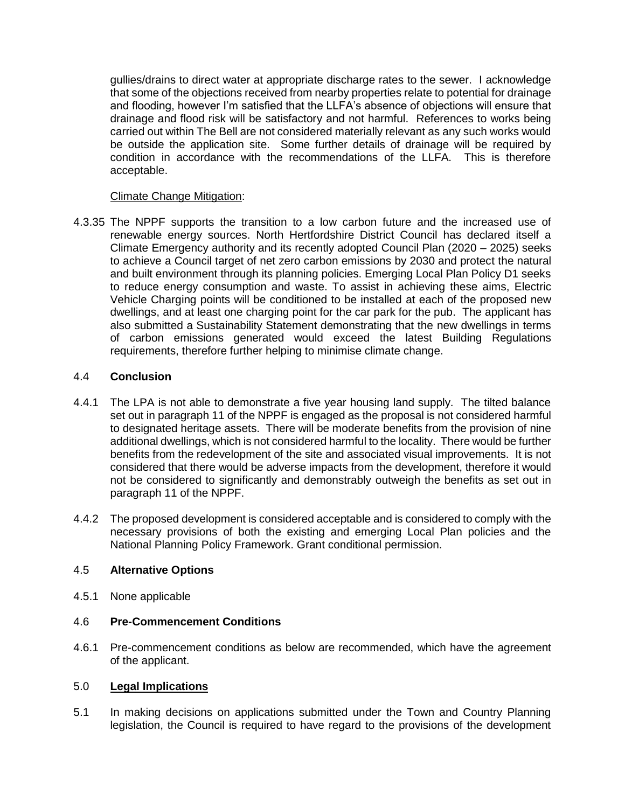gullies/drains to direct water at appropriate discharge rates to the sewer. I acknowledge that some of the objections received from nearby properties relate to potential for drainage and flooding, however I'm satisfied that the LLFA's absence of objections will ensure that drainage and flood risk will be satisfactory and not harmful. References to works being carried out within The Bell are not considered materially relevant as any such works would be outside the application site. Some further details of drainage will be required by condition in accordance with the recommendations of the LLFA. This is therefore acceptable.

## Climate Change Mitigation:

4.3.35 The NPPF supports the transition to a low carbon future and the increased use of renewable energy sources. North Hertfordshire District Council has declared itself a Climate Emergency authority and its recently adopted Council Plan (2020 – 2025) seeks to achieve a Council target of net zero carbon emissions by 2030 and protect the natural and built environment through its planning policies. Emerging Local Plan Policy D1 seeks to reduce energy consumption and waste. To assist in achieving these aims, Electric Vehicle Charging points will be conditioned to be installed at each of the proposed new dwellings, and at least one charging point for the car park for the pub. The applicant has also submitted a Sustainability Statement demonstrating that the new dwellings in terms of carbon emissions generated would exceed the latest Building Regulations requirements, therefore further helping to minimise climate change.

## 4.4 **Conclusion**

- 4.4.1 The LPA is not able to demonstrate a five year housing land supply. The tilted balance set out in paragraph 11 of the NPPF is engaged as the proposal is not considered harmful to designated heritage assets. There will be moderate benefits from the provision of nine additional dwellings, which is not considered harmful to the locality. There would be further benefits from the redevelopment of the site and associated visual improvements. It is not considered that there would be adverse impacts from the development, therefore it would not be considered to significantly and demonstrably outweigh the benefits as set out in paragraph 11 of the NPPF.
- 4.4.2 The proposed development is considered acceptable and is considered to comply with the necessary provisions of both the existing and emerging Local Plan policies and the National Planning Policy Framework. Grant conditional permission.

## 4.5 **Alternative Options**

4.5.1 None applicable

## 4.6 **Pre-Commencement Conditions**

4.6.1 Pre-commencement conditions as below are recommended, which have the agreement of the applicant.

## 5.0 **Legal Implications**

5.1 In making decisions on applications submitted under the Town and Country Planning legislation, the Council is required to have regard to the provisions of the development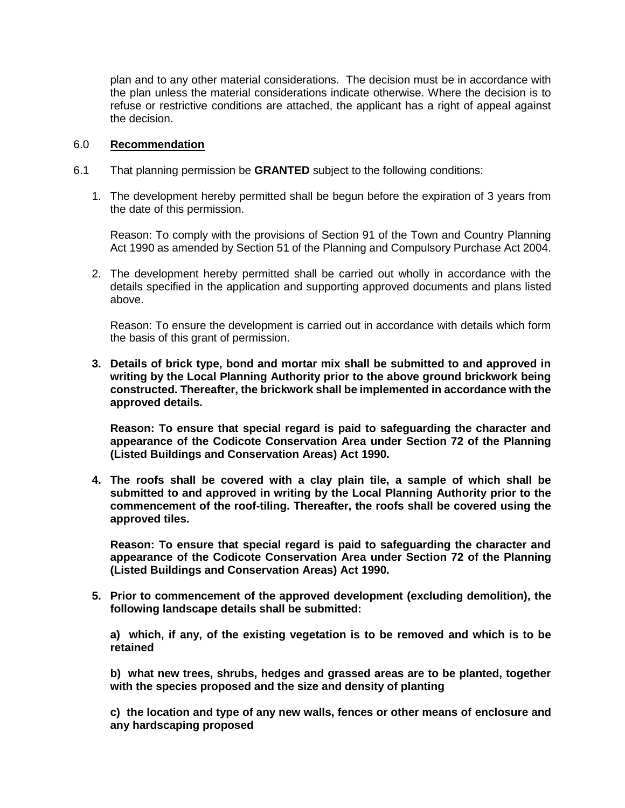plan and to any other material considerations. The decision must be in accordance with the plan unless the material considerations indicate otherwise. Where the decision is to refuse or restrictive conditions are attached, the applicant has a right of appeal against the decision.

#### 6.0 **Recommendation**

- 6.1 That planning permission be **GRANTED** subject to the following conditions:
	- 1. The development hereby permitted shall be begun before the expiration of 3 years from the date of this permission.

Reason: To comply with the provisions of Section 91 of the Town and Country Planning Act 1990 as amended by Section 51 of the Planning and Compulsory Purchase Act 2004.

2. The development hereby permitted shall be carried out wholly in accordance with the details specified in the application and supporting approved documents and plans listed above.

Reason: To ensure the development is carried out in accordance with details which form the basis of this grant of permission.

**3. Details of brick type, bond and mortar mix shall be submitted to and approved in writing by the Local Planning Authority prior to the above ground brickwork being constructed. Thereafter, the brickwork shall be implemented in accordance with the approved details.** 

**Reason: To ensure that special regard is paid to safeguarding the character and appearance of the Codicote Conservation Area under Section 72 of the Planning (Listed Buildings and Conservation Areas) Act 1990.** 

**4. The roofs shall be covered with a clay plain tile, a sample of which shall be submitted to and approved in writing by the Local Planning Authority prior to the commencement of the roof-tiling. Thereafter, the roofs shall be covered using the approved tiles.** 

**Reason: To ensure that special regard is paid to safeguarding the character and appearance of the Codicote Conservation Area under Section 72 of the Planning (Listed Buildings and Conservation Areas) Act 1990.** 

**5. Prior to commencement of the approved development (excluding demolition), the following landscape details shall be submitted:**

**a) which, if any, of the existing vegetation is to be removed and which is to be retained**

**b) what new trees, shrubs, hedges and grassed areas are to be planted, together with the species proposed and the size and density of planting**

**c) the location and type of any new walls, fences or other means of enclosure and any hardscaping proposed**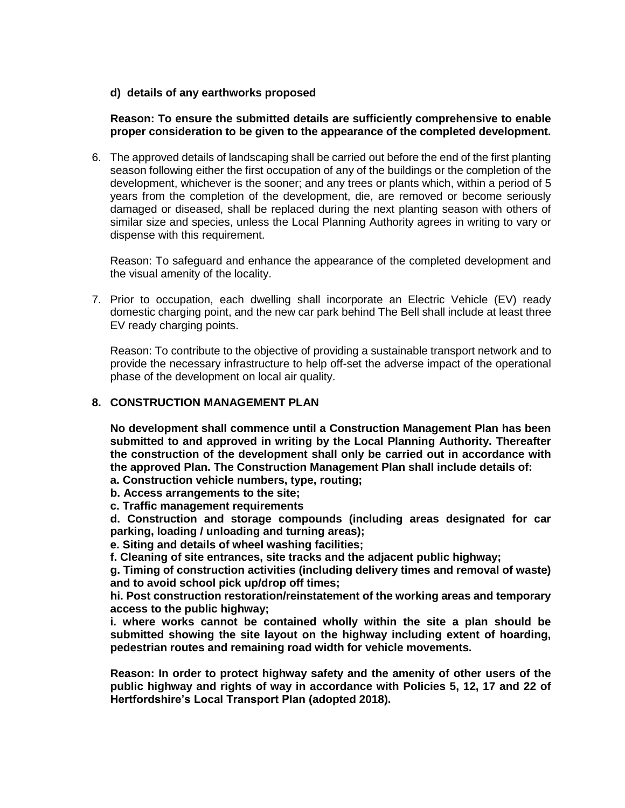**d) details of any earthworks proposed**

### **Reason: To ensure the submitted details are sufficiently comprehensive to enable proper consideration to be given to the appearance of the completed development.**

6. The approved details of landscaping shall be carried out before the end of the first planting season following either the first occupation of any of the buildings or the completion of the development, whichever is the sooner; and any trees or plants which, within a period of 5 years from the completion of the development, die, are removed or become seriously damaged or diseased, shall be replaced during the next planting season with others of similar size and species, unless the Local Planning Authority agrees in writing to vary or dispense with this requirement.

Reason: To safeguard and enhance the appearance of the completed development and the visual amenity of the locality.

7. Prior to occupation, each dwelling shall incorporate an Electric Vehicle (EV) ready domestic charging point, and the new car park behind The Bell shall include at least three EV ready charging points.

Reason: To contribute to the objective of providing a sustainable transport network and to provide the necessary infrastructure to help off-set the adverse impact of the operational phase of the development on local air quality.

#### **8. CONSTRUCTION MANAGEMENT PLAN**

**No development shall commence until a Construction Management Plan has been submitted to and approved in writing by the Local Planning Authority. Thereafter the construction of the development shall only be carried out in accordance with the approved Plan. The Construction Management Plan shall include details of:**

- **a. Construction vehicle numbers, type, routing;**
- **b. Access arrangements to the site;**
- **c. Traffic management requirements**
- **d. Construction and storage compounds (including areas designated for car parking, loading / unloading and turning areas);**
- **e. Siting and details of wheel washing facilities;**
- **f. Cleaning of site entrances, site tracks and the adjacent public highway;**

**g. Timing of construction activities (including delivery times and removal of waste) and to avoid school pick up/drop off times;**

**hi. Post construction restoration/reinstatement of the working areas and temporary access to the public highway;**

**i. where works cannot be contained wholly within the site a plan should be submitted showing the site layout on the highway including extent of hoarding, pedestrian routes and remaining road width for vehicle movements.**

**Reason: In order to protect highway safety and the amenity of other users of the public highway and rights of way in accordance with Policies 5, 12, 17 and 22 of Hertfordshire's Local Transport Plan (adopted 2018).**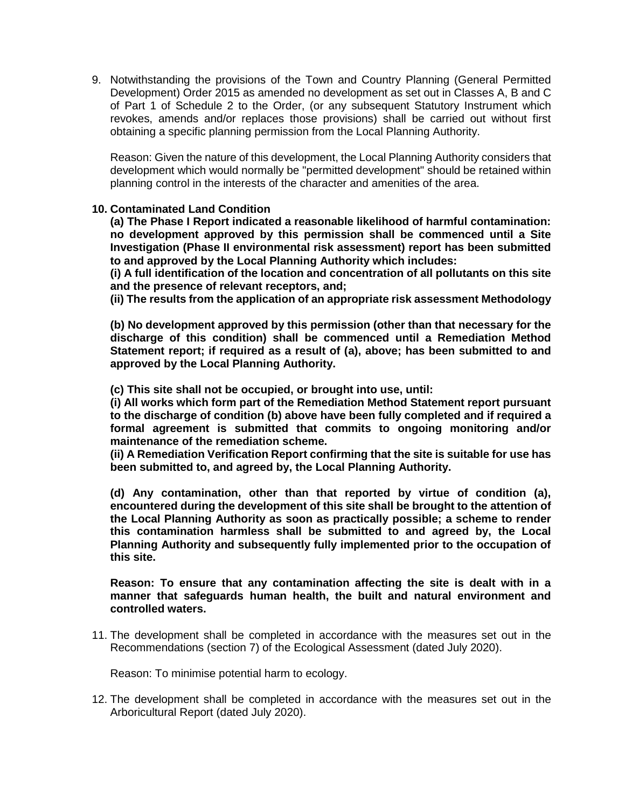9. Notwithstanding the provisions of the Town and Country Planning (General Permitted Development) Order 2015 as amended no development as set out in Classes A, B and C of Part 1 of Schedule 2 to the Order, (or any subsequent Statutory Instrument which revokes, amends and/or replaces those provisions) shall be carried out without first obtaining a specific planning permission from the Local Planning Authority.

Reason: Given the nature of this development, the Local Planning Authority considers that development which would normally be "permitted development" should be retained within planning control in the interests of the character and amenities of the area.

### **10. Contaminated Land Condition**

**(a) The Phase I Report indicated a reasonable likelihood of harmful contamination: no development approved by this permission shall be commenced until a Site Investigation (Phase II environmental risk assessment) report has been submitted to and approved by the Local Planning Authority which includes:** 

**(i) A full identification of the location and concentration of all pollutants on this site and the presence of relevant receptors, and;** 

**(ii) The results from the application of an appropriate risk assessment Methodology**

**(b) No development approved by this permission (other than that necessary for the discharge of this condition) shall be commenced until a Remediation Method Statement report; if required as a result of (a), above; has been submitted to and approved by the Local Planning Authority.** 

**(c) This site shall not be occupied, or brought into use, until:** 

**(i) All works which form part of the Remediation Method Statement report pursuant to the discharge of condition (b) above have been fully completed and if required a formal agreement is submitted that commits to ongoing monitoring and/or maintenance of the remediation scheme.** 

**(ii) A Remediation Verification Report confirming that the site is suitable for use has been submitted to, and agreed by, the Local Planning Authority.** 

**(d) Any contamination, other than that reported by virtue of condition (a), encountered during the development of this site shall be brought to the attention of the Local Planning Authority as soon as practically possible; a scheme to render this contamination harmless shall be submitted to and agreed by, the Local Planning Authority and subsequently fully implemented prior to the occupation of this site.** 

#### **Reason: To ensure that any contamination affecting the site is dealt with in a manner that safeguards human health, the built and natural environment and controlled waters.**

11. The development shall be completed in accordance with the measures set out in the Recommendations (section 7) of the Ecological Assessment (dated July 2020).

Reason: To minimise potential harm to ecology.

12. The development shall be completed in accordance with the measures set out in the Arboricultural Report (dated July 2020).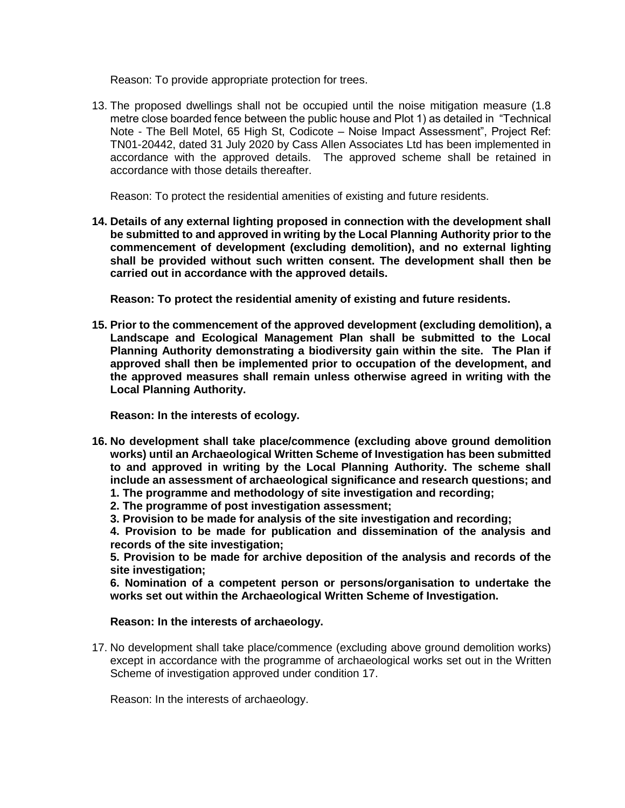Reason: To provide appropriate protection for trees.

13. The proposed dwellings shall not be occupied until the noise mitigation measure (1.8 metre close boarded fence between the public house and Plot 1) as detailed in "Technical Note - The Bell Motel, 65 High St, Codicote – Noise Impact Assessment", Project Ref: TN01-20442, dated 31 July 2020 by Cass Allen Associates Ltd has been implemented in accordance with the approved details. The approved scheme shall be retained in accordance with those details thereafter.

Reason: To protect the residential amenities of existing and future residents.

**14. Details of any external lighting proposed in connection with the development shall be submitted to and approved in writing by the Local Planning Authority prior to the commencement of development (excluding demolition), and no external lighting shall be provided without such written consent. The development shall then be carried out in accordance with the approved details.**

**Reason: To protect the residential amenity of existing and future residents.**

**15. Prior to the commencement of the approved development (excluding demolition), a Landscape and Ecological Management Plan shall be submitted to the Local Planning Authority demonstrating a biodiversity gain within the site. The Plan if approved shall then be implemented prior to occupation of the development, and the approved measures shall remain unless otherwise agreed in writing with the Local Planning Authority.**

**Reason: In the interests of ecology.**

- **16. No development shall take place/commence (excluding above ground demolition works) until an Archaeological Written Scheme of Investigation has been submitted to and approved in writing by the Local Planning Authority. The scheme shall include an assessment of archaeological significance and research questions; and**
	- **1. The programme and methodology of site investigation and recording;**
	- **2. The programme of post investigation assessment;**
	- **3. Provision to be made for analysis of the site investigation and recording;**

**4. Provision to be made for publication and dissemination of the analysis and records of the site investigation;**

**5. Provision to be made for archive deposition of the analysis and records of the site investigation;**

**6. Nomination of a competent person or persons/organisation to undertake the works set out within the Archaeological Written Scheme of Investigation.**

### **Reason: In the interests of archaeology.**

17. No development shall take place/commence (excluding above ground demolition works) except in accordance with the programme of archaeological works set out in the Written Scheme of investigation approved under condition 17.

Reason: In the interests of archaeology.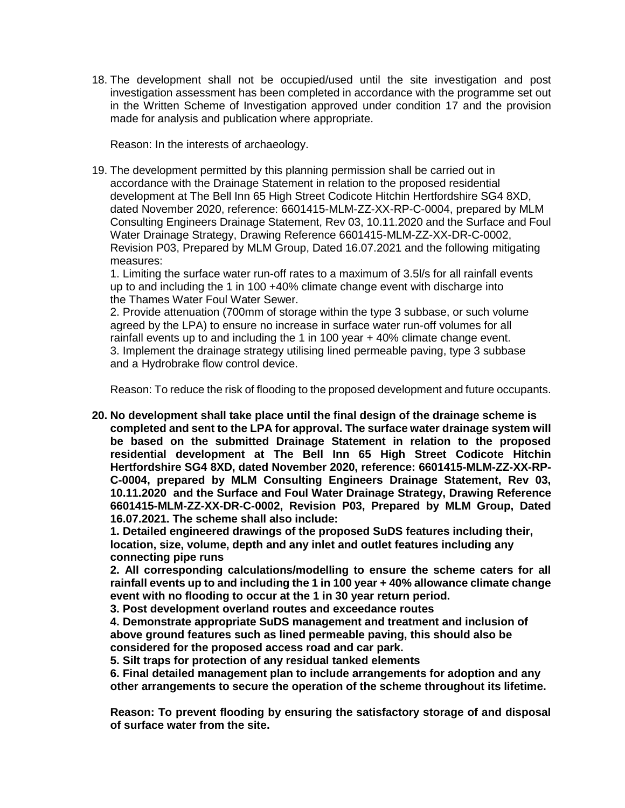18. The development shall not be occupied/used until the site investigation and post investigation assessment has been completed in accordance with the programme set out in the Written Scheme of Investigation approved under condition 17 and the provision made for analysis and publication where appropriate.

Reason: In the interests of archaeology.

19. The development permitted by this planning permission shall be carried out in accordance with the Drainage Statement in relation to the proposed residential development at The Bell Inn 65 High Street Codicote Hitchin Hertfordshire SG4 8XD, dated November 2020, reference: 6601415-MLM-ZZ-XX-RP-C-0004, prepared by MLM Consulting Engineers Drainage Statement, Rev 03, 10.11.2020 and the Surface and Foul Water Drainage Strategy, Drawing Reference 6601415-MLM-ZZ-XX-DR-C-0002, Revision P03, Prepared by MLM Group, Dated 16.07.2021 and the following mitigating measures:

1. Limiting the surface water run-off rates to a maximum of 3.5l/s for all rainfall events up to and including the 1 in 100 +40% climate change event with discharge into the Thames Water Foul Water Sewer.

2. Provide attenuation (700mm of storage within the type 3 subbase, or such volume agreed by the LPA) to ensure no increase in surface water run-off volumes for all rainfall events up to and including the 1 in 100 year + 40% climate change event. 3. Implement the drainage strategy utilising lined permeable paving, type 3 subbase and a Hydrobrake flow control device.

Reason: To reduce the risk of flooding to the proposed development and future occupants.

**20. No development shall take place until the final design of the drainage scheme is completed and sent to the LPA for approval. The surface water drainage system will be based on the submitted Drainage Statement in relation to the proposed residential development at The Bell Inn 65 High Street Codicote Hitchin Hertfordshire SG4 8XD, dated November 2020, reference: 6601415-MLM-ZZ-XX-RP-C-0004, prepared by MLM Consulting Engineers Drainage Statement, Rev 03, 10.11.2020 and the Surface and Foul Water Drainage Strategy, Drawing Reference 6601415-MLM-ZZ-XX-DR-C-0002, Revision P03, Prepared by MLM Group, Dated 16.07.2021. The scheme shall also include:** 

**1. Detailed engineered drawings of the proposed SuDS features including their, location, size, volume, depth and any inlet and outlet features including any connecting pipe runs** 

**2. All corresponding calculations/modelling to ensure the scheme caters for all rainfall events up to and including the 1 in 100 year + 40% allowance climate change event with no flooding to occur at the 1 in 30 year return period.** 

**3. Post development overland routes and exceedance routes** 

**4. Demonstrate appropriate SuDS management and treatment and inclusion of above ground features such as lined permeable paving, this should also be considered for the proposed access road and car park.** 

**5. Silt traps for protection of any residual tanked elements** 

**6. Final detailed management plan to include arrangements for adoption and any other arrangements to secure the operation of the scheme throughout its lifetime.**

**Reason: To prevent flooding by ensuring the satisfactory storage of and disposal of surface water from the site.**